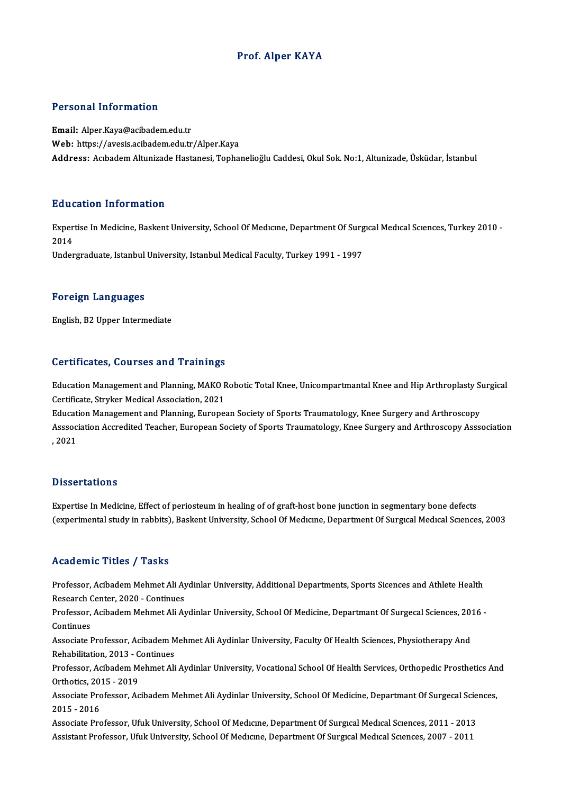## Prof. Alper KAYA

### Personal Information

Email: Alper.Kaya@acibadem.edu.tr Web: https://avesis.acibadem.edu.tr/Alper.Kaya Address: Acıbadem Altunizade Hastanesi, Tophanelioğlu Caddesi, Okul Sok. No:1, Altunizade, Üsküdar, İstanbul

### Education Information

**Education Information**<br>Expertise In Medicine, Baskent University, School Of Medıcıne, Department Of Surgıcal Medıcal Scıences, Turkey 2010 -<br>2014 Exper<br>Exper<br>2014 2014<br>Undergraduate, Istanbul University, Istanbul Medical Faculty, Turkey 1991 - 1997

### Foreign Languages

English,B2Upper Intermediate

### Certificates, Courses and Trainings

Certificates, Courses and Trainings<br>Education Management and Planning, MAKO Robotic Total Knee, Unicompartmantal Knee and Hip Arthroplasty Surgical<br>Certificate Struker Medical Association 2021 Certificate, Stryker Medical Association, MAKO<br>Certificate, Stryker Medical Association, 2021<br>Education Management and Blanning, Europes Education Management and Planning, MAKO Robotic Total Knee, Unicompartmantal Knee and Hip Arthroplasty St<br>Certificate, Stryker Medical Association, 2021<br>Education Management and Planning, European Society of Sports Traumat

Certificate, Stryker Medical Association, 2021<br>Education Management and Planning, European Society of Sports Traumatology, Knee Surgery and Arthroscopy<br>Asssociation Accredited Teacher, European Society of Sports Traumatolo Educat<br>Asssoc:<br>, 2021

### **Dissertations**

Expertise In Medicine, Effect of periosteum in healing of of graft-host bone junction in segmentary bone defects (experimental study in rabbits), Baskent University, School Of Medicine, Department Of Surgical Medical Sciences, 2003

## Academic Titles / Tasks

Academic Titles / Tasks<br>Professor, Acibadem Mehmet Ali Aydinlar University, Additional Departments, Sports Sicences and Athlete Health<br>Research Center, 2020, Centinues Professor, Acibadem Mehmet Ali Ay<br>Research Center, 2020 - Continues<br>Professor, Acibadem Mehmet Ali Ay Professor, Acibadem Mehmet Ali Aydinlar University, Additional Departments, Sports Sicences and Athlete Health<br>Research Center, 2020 - Continues<br>Professor, Acibadem Mehmet Ali Aydinlar University, School Of Medicine, Depar

Research<br>Professor,<br>Continues<br>Associate I Professor, Acibadem Mehmet Ali Aydinlar University, School Of Medicine, Departmant Of Surgecal Sciences, 201<br>Continues<br>Associate Professor, Acibadem Mehmet Ali Aydinlar University, Faculty Of Health Sciences, Physiotherapy

Continues<br>Associate Professor, Acibadem Mehmet Ali Aydinlar University, Faculty Of Health Sciences, Physiotherapy And<br>Rehabilitation, 2013 - Continues Associate Professor, Acibadem Mehmet Ali Aydinlar University, Faculty Of Health Sciences, Physiotherapy And<br>Rehabilitation, 2013 - Continues<br>Professor, Acibadem Mehmet Ali Aydinlar University, Vocational School Of Health S

Rehabilitation, 2013 - C<br>Professor, Acibadem M<br>Orthotics, 2015 - 2019<br>Assesiate Brofessor, As Professor, Acibadem Mehmet Ali Aydinlar University, Vocational School Of Health Services, Orthopedic Prosthetics An<br>Orthotics, 2015 - 2019<br>Associate Professor, Acibadem Mehmet Ali Aydinlar University, School Of Medicine, D

Orthotics, 201<br>Associate Pro<br>2015 - 2016<br>Associate Pro Associate Professor, Acibadem Mehmet Ali Aydinlar University, School Of Medicine, Departmant Of Surgecal Scie<br>2015 - 2016<br>Associate Professor, Ufuk University, School Of Medicine, Department Of Surgical Medical Sciences, 2

2015 - 2016<br>Associate Professor, Ufuk University, School Of Medıcıne, Department Of Surgıcal Medıcal Scıences, 2011 - 2013<br>Assistant Professor, Ufuk University, School Of Medicine, Department Of Surgical Medical Sciences,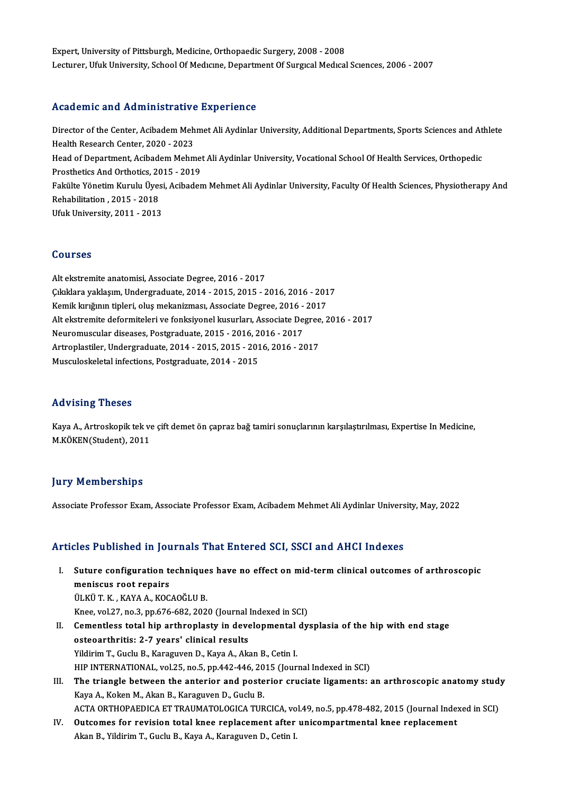Expert, University of Pittsburgh, Medicine, Orthopaedic Surgery, 2008 - 2008 Lecturer, Ufuk University, School Of Medicine, Department Of Surgical Medical Sciences, 2006 - 2007

## Academic and Administrative Experience

Academic and Administrative Experience<br>Director of the Center, Acibadem Mehmet Ali Aydinlar University, Additional Departments, Sports Sciences and Athlete<br>Health Pessarsh Center, 2020, 2022 Director of the Center, Acibadem Meh<br>Health Research Center, 2020 - 2023<br>Head of Department, Asibadem Mehm Director of the Center, Acibadem Mehmet Ali Aydinlar University, Additional Departments, Sports Sciences and At<br>Health Research Center, 2020 - 2023<br>Head of Department, Acibadem Mehmet Ali Aydinlar University, Vocational Sc Health Research Center, 2020 - 2023<br>Head of Department, Acibadem Mehmet Ali Aydinlar University, Vocational School Of Health Services, Orthopedic<br>Prosthetics And Orthotics, 2015 - 2019 Head of Department, Acibadem Mehmet Ali Aydinlar University, Vocational School Of Health Services, Orthopedic<br>Prosthetics And Orthotics, 2015 - 2019<br>Fakülte Yönetim Kurulu Üyesi, Acibadem Mehmet Ali Aydinlar University, Fa Prosthetics And Orthotics, 20<br>Fakülte Yönetim Kurulu Üyes<br>Rehabilitation , 2015 - 2018<br>Hisk University, 2011 - 2012 Fakülte Yönetim Kurulu Üyesi<br>Rehabilitation , 2015 - 2018<br>Ufuk University, 2011 - 2013 Ufuk University, 2011 - 2013<br>Courses

Alt ekstremite anatomisi, Associate Degree, 2016 - 2017 SSATSSS<br>Alt ekstremite anatomisi, Associate Degree, 2016 - 2017<br>Çıkıklara yaklaşım, Undergraduate, 2014 - 2015, 2015 - 2016, 2016 - 2017<br>Komik kuvğunu tipleri, oluş mekanizmesi, Associate Degree, 2016, 2017 Alt ekstremite anatomisi, Associate Degree, 2016 - 2017<br>Çıkıklara yaklaşım, Undergraduate, 2014 - 2015, 2015 - 2016, 2016 - 201<br>Kemik kırığının tipleri, oluş mekanizması, Associate Degree, 2016 - 2017<br>Alt ekstremite deform Kemik kırığının tipleri, oluş mekanizması, Associate Degree, 2016 - 2017<br>Alt ekstremite deformiteleri ve fonksiyonel kusurları, Associate Degree, 2016 - 2017 Kemik kırığının tipleri, oluş mekanizması, Associate Degree, 2016 -<br>Alt ekstremite deformiteleri ve fonksiyonel kusurları, Associate De;<br>Neuromuscular diseases, Postgraduate, 2015 - 2016, 2016 - 2017<br>Artroplastiler, Underg Artroplastiler, Undergraduate, 2014 - 2015, 2015 - 2016, 2016 - 2017<br>Musculoskeletal infections, Postgraduate, 2014 - 2015 Neuromuscular diseases, Postgraduate, 2015 - 2016, 2<br>Artroplastiler, Undergraduate, 2014 - 2015, 2015 - 201<br>Musculoskeletal infections, Postgraduate, 2014 - 2015

## Advising Theses

Advising Theses<br>Kaya A., Artroskopik tek ve çift demet ön çapraz bağ tamiri sonuçlarının karşılaştırılması, Expertise In Medicine,<br>M.KÖKEN(Student), 2011 112 vising 1115555<br>Kaya A., Artroskopik tek ve<br>M.KÖKEN(Student), 2011

# M.KÖKEN(Student), 2011<br>Jury Memberships

Associate Professor Exam, Associate Professor Exam, Acibadem Mehmet Ali Aydinlar University, May, 2022

## Articles Published in Journals That Entered SCI, SSCI and AHCI Indexes

- rticles Published in Journals That Entered SCI, SSCI and AHCI Indexes<br>I. Suture configuration techniques have no effect on mid-term clinical outcomes of arthroscopic<br>moniques rest rensire meniscus root repairs Suture configuration technique<br>meniscus root repairs<br>ÜLKÜ T. K. , KAYA A., KOCAOĞLU B.<br>Knes. val 37. ns 3. nn 676 693, 303. meniscus root repairs<br>ÜLKÜ T. K. , KAYA A., KOCAOĞLU B.<br>Knee, vol.27, no.3, pp.676-682, 2020 (Journal Indexed in SCI)<br>Camertless tatal bin arthronlasty in developmental dy ULKÜ T. K. , KAYA A., KOCAOĞLU B.<br>Knee, vol.27, no.3, pp.676-682, 2020 (Journal Indexed in SCI)<br>II. Cementless total hip arthroplasty in developmental dysplasia of the hip with end stage<br>osteoarthritis: 2-7 years' clinical
- Knee, vol.27, no.3, pp.676-682, 2020 (Journal)<br>Cementless total hip arthroplasty in deve<br>osteoarthritis: 2-7 years' clinical results<br>Vildinim T. Cuelu B. Karaguran D. Kara A. Alr Yildirim T., Guclu B., Karaguven D., Kaya A., Akan B., Cetin I. HIP INTERNATIONAL, vol.25, no.5, pp.442-446, 2015 (Journal Indexed in SCI) Yildirim T., Guclu B., Karaguven D., Kaya A., Akan B., Cetin I.<br>HIP INTERNATIONAL, vol.25, no.5, pp.442-446, 2015 (Journal Indexed in SCI)<br>III. The triangle between the anterior and posterior cruciate ligaments: an arthros
- HIP INTERNATIONAL, vol.25, no.5, pp.442-446, 20<br>The triangle between the anterior and poste<br>Kaya A., Koken M., Akan B., Karaguven D., Guclu B.<br>ACTA OPTHOPAEDICA ET TRAUMATOLOGICA TUP The triangle between the anterior and posterior cruciate ligaments: an arthroscopic anatomy stud<br>Kaya A., Koken M., Akan B., Karaguven D., Guclu B.<br>ACTA ORTHOPAEDICA ET TRAUMATOLOGICA TURCICA, vol.49, no.5, pp.478-482, 201 Kaya A., Koken M., Akan B., Karaguven D., Guclu B.<br>ACTA ORTHOPAEDICA ET TRAUMATOLOGICA TURCICA, vol.49, no.5, pp.478-482, 2015 (Journal Indexed in SCI)<br>IV. Outcomes for revision total knee replacement after unicompartm
- Akan B., Yildirim T., Guclu B., Kaya A., Karaguven D., Cetin I.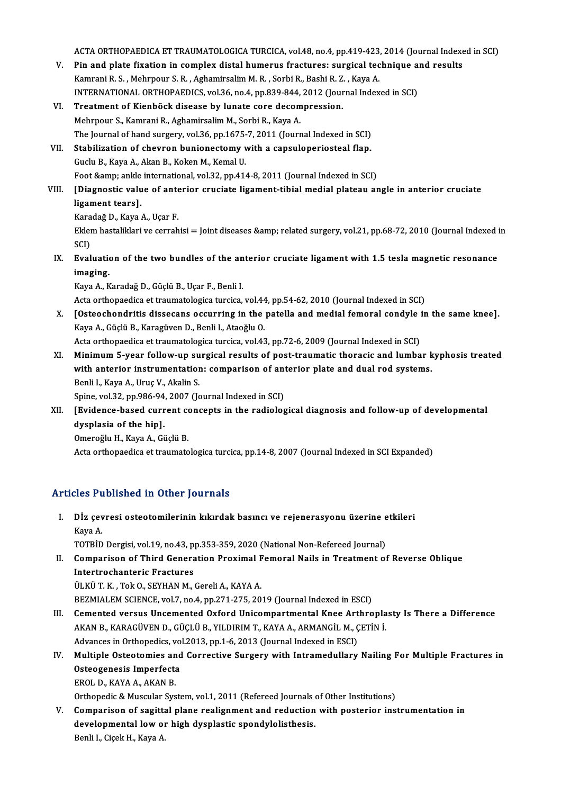ACTA ORTHOPAEDICA ET TRAUMATOLOGICA TURCICA, vol.48, no.4, pp.419-423, 2014 (Journal Indexed in SCI)<br>Pin and plate firstion in complex distal humanys frastures: surgisel technique and pesulta

- ACTA ORTHOPAEDICA ET TRAUMATOLOGICA TURCICA, vol.48, no.4, pp.419-423, 2014 (Journal Indexentle V.<br>V. Pin and plate fixation in complex distal humerus fractures: surgical technique and results<br>Kampani B. S. Mahppour S. B. ACTA ORTHOPAEDICA ET TRAUMATOLOGICA TURCICA, vol.48, no.4, pp.419-423<br>Pin and plate fixation in complex distal humerus fractures: surgical tec<br>Kamrani R. S. , Mehrpour S. R. , Aghamirsalim M. R. , Sorbi R., Bashi R. Z. , K Pin and plate fixation in complex distal humerus fractures: surgical technique a<br>Kamrani R. S. , Mehrpour S. R. , Aghamirsalim M. R. , Sorbi R., Bashi R. Z. , Kaya A.<br>INTERNATIONAL ORTHOPAEDICS, vol.36, no.4, pp.839-844, 2 Kamrani R. S. , Mehrpour S. R. , Aghamirsalim M. R. , Sorbi R., Bashi R. Z. , Kaya A.<br>INTERNATIONAL ORTHOPAEDICS, vol.36, no.4, pp.839-844, 2012 (Journal Index<br>VI. Treatment of Kienböck disease by lunate core decompression
- INTERNATIONAL ORTHOPAEDICS, vol.36, no.4, pp.839-844,<br>Treatment of Kienböck disease by lunate core decom<br>Mehrpour S., Kamrani R., Aghamirsalim M., Sorbi R., Kaya A.<br>The Journal of hand surgery, vol.36, np.1675-7, 2011 (Jou Treatment of Kienböck disease by lunate core decompression.<br>Mehrpour S., Kamrani R., Aghamirsalim M., Sorbi R., Kaya A.<br>The Journal of hand surgery, vol.36, pp.1675-7, 2011 (Journal Indexed in SCI)<br>Stabilization of shownan
- VII. Stabilization of chevron bunionectomy with a capsuloperiosteal flap.<br>Guclu B., Kaya A., Akan B., Koken M., Kemal U. The Journal of hand surgery, vol.36, pp.1675-<br>Stabilization of chevron bunionectomy v<br>Guclu B., Kaya A., Akan B., Koken M., Kemal U.<br>Foot formy ankle international vol.32, pp.41. Foot & ankle international, vol.32, pp.414-8, 2011 (Journal Indexed in SCI) Guclu B., Kaya A., Akan B., Koken M., Kemal U.<br>Foot &amp; ankle international, vol.32, pp.414-8, 2011 (Journal Indexed in SCI)<br>VIII. [Diagnostic value of anterior cruciate ligament-tibial medial plateau angle in anteri

# Foot & ankle<br>[Diagnostic valu<br>ligament tears].<br>Karadağ D. Kava <mark>[Diagnostic value of ante</mark><br>ligament tears].<br>Karadağ D., Kaya A., Uçar F.<br>Eklem bestelikleri ve serreb

ligament tears].<br>Karadağ D., Kaya A., Uçar F.<br>Eklem hastaliklari ve cerrahisi = Joint diseases &amp; related surgery, vol.21, pp.68-72, 2010 (Journal Indexed in<br>SCD. Kara<br>Eklei<br>SCI)<br>Eval Eklem hastaliklari ve cerrahisi = Joint diseases & related surgery, vol.21, pp.68-72, 2010 (Journal Indexed i<br>SCI)<br>IX. Evaluation of the two bundles of the anterior cruciate ligament with 1.5 tesla magnetic resonance<br>

SCI)<br>Evaluation<br>imaging.<br>Kaya A. K Evaluation of the two bundles of the an<br>imaging.<br>Kaya A., Karadağ D., Güçlü B., Uçar F., Benli I.<br>Asta arthanasdisa at traumatalagisa turgisa.

**imaging.**<br>Kaya A., Karadağ D., Güçlü B., Uçar F., Benli I.<br>Acta orthopaedica et traumatologica turcica, vol.44, pp.54-62, 2010 (Journal Indexed in SCI)

Kaya A., Karadağ D., Güçlü B., Uçar F., Benli I.<br>Acta orthopaedica et traumatologica turcica, vol.44, pp.54-62, 2010 (Journal Indexed in SCI)<br>X. [Osteochondritis dissecans occurring in the patella and medial femoral condyl Acta orthopaedica et traumatologica turcica, vol.44<br>[Osteochondritis dissecans occurring in the<br>Kaya A., Güçlü B., Karagüven D., Benli I., Ataoğlu O.<br>Asta orthopaedisa et traumatologise turgisa vol.43 [Osteochondritis dissecans occurring in the patella and medial femoral condyle i<br>Kaya A., Güçlü B., Karagüven D., Benli I., Ataoğlu O.<br>Acta orthopaedica et traumatologica turcica, vol.43, pp.72-6, 2009 (Journal Indexed in

Kaya A., Güçlü B., Karagüven D., Benli I., Ataoğlu O.<br>Acta orthopaedica et traumatologica turcica, vol.43, pp.72-6, 2009 (Journal Indexed in SCI)<br>XI. Minimum 5-year follow-up surgical results of post-traumatic thoracic and Acta orthopaedica et traumatologica turcica, vol.43, pp.72-6, 2009 (Journal Indexed in SCI)<br>Minimum 5-year follow-up surgical results of post-traumatic thoracic and lumbar k<br>with anterior instrumentation: comparison of ant Minimum 5-year follow-up su<br>with anterior instrumentation<br>Benli I., Kaya A., Uruç V., Akalin S.<br>Snine vel 32 nn 986 94 2007 (Ic with anterior instrumentation: comparison of anterior plate and dual rod systems.<br>Benli I., Kaya A., Uruç V., Akalin S.<br>Spine, vol.32, pp.986-94, 2007 (Journal Indexed in SCI)

# Benli I., Kaya A., Uruç V., Akalin S.<br>Spine, vol.32, pp.986-94, 2007 (Journal Indexed in SCI)<br>XII. [Evidence-based current concepts in the radiological diagnosis and follow-up of developmental<br>dyaplasis of the binl Spine, vol.32, pp.986-94<br>[Evidence-based curr<br>dysplasia of the hip]. Evidence-based current conditions<br>dysplasia of the hip].<br>Omeroğlu H., Kaya A., Güçlü B.<br>Asta orthonoodise et traumate dysplasia of the hip].<br>Omeroğlu H., Kaya A., Güçlü B.<br>Acta orthopaedica et traumatologica turcica, pp.14-8, 2007 (Journal Indexed in SCI Expanded)

# Articles Published in Other Journals

rticles Published in Other Journals<br>I. Dİz çevresi osteotomilerinin kıkırdak basıncı ve rejenerasyonu üzerine etkileri<br>Kava A xes re<br>Dİz çev<br>Kaya A. Dİz çevresi osteotomilerinin kıkırdak basıncı ve rejenerasyonu üzerine e<br>Kaya A.<br>TOTBİD Dergisi, vol.19, no.43, pp.353-359, 2020 (National Non-Refereed Journal)<br>Comparison of Third Conoration Provimal Femoral Nails in Trea

TOTBİD Dergisi, vol.19, no.43, pp.353-359, 2020 (National Non-Refereed Journal)

Kaya A.<br>TOTBİD Dergisi, vol.19, no.43, pp.353-359, 2020 (National Non-Refereed Journal)<br>II. Comparison of Third Generation Proximal Femoral Nails in Treatment of Reverse Oblique<br>Intertrochanteric Fractures ÜLKÜ T. K., Tok O., SEYHAN M., Gereli A., KAYA A. ULKÜ T. K., Tok O., SEYHAN M., Gereli A., KAYA A.<br>BEZMIALEM SCIENCE, vol.7, no.4, pp.271-275, 2019 (Journal Indexed in ESCI)<br>III. Cemented versus Uncemented Oxford Unicompartmental Knee Arthroplasty Is There a Difference

- BEZMIALEM SCIENCE, vol.7, no.4, pp.271-275, 2019 (Journal Indexed in ESCI)
- BEZMIALEM SCIENCE, vol.7, no.4, pp.271-275, 2019 (Journal Indexed in ESCI)<br>Cemented versus Uncemented Oxford Unicompartmental Knee Arthropla<br>AKAN B., KARAGÜVEN D., GÜÇLÜ B., YILDIRIM T., KAYA A., ARMANGİL M., ÇETİN İ.<br>Adva Cemented versus Uncemented Oxford Unicompartmental Knee Art<br>AKAN B., KARAGÜVEN D., GÜÇLÜ B., YILDIRIM T., KAYA A., ARMANGİL M., Ç<br>Advances in Orthopedics, vol.2013, pp.1-6, 2013 (Journal Indexed in ESCI)<br>Multiple Ostestami AKAN B., KARAGÜVEN D., GÜÇLÜ B., YILDIRIM T., KAYA A., ARMANGİL M., ÇETİN İ.<br>Advances in Orthopedics, vol.2013, pp.1-6, 2013 (Journal Indexed in ESCI)<br>IV. Multiple Osteotomies and Corrective Surgery with Intramedullary
- Advances in Orthopedics, vo<br>Multiple Osteotomies and<br>Osteogenesis Imperfecta<br>EPOLD, KAYA A, AKAN P Multiple Osteotomies an<br>Osteogenesis Imperfecta<br>EROL D., KAYA A., AKAN B.<br>Orthonodie & Musculer Sya Osteogenesis Imperfecta<br>EROL D., KAYA A., AKAN B.<br>Orthopedic & Muscular System, vol.1, 2011 (Refereed Journals of Other Institutions)<br>Companison of segittel plane nealignment and neduction with posterion ins

EROL D., KAYA A., AKAN B.<br>Orthopedic & Muscular System, vol.1, 2011 (Refereed Journals of Other Institutions)<br>V. Comparison of sagittal plane realignment and reduction with posterior instrumentation in<br>developmental low on Orthopedic & Muscular System, vol.1, 2011 (Refereed Journals of Sandwald plane realignment and reduction<br>developmental low or high dysplastic spondylolisthesis.<br>Penli L Gisel: H. Kaye A Comparison of sagitta<br>developmental low oı<br>Benli I., Ciçek H., Kaya A.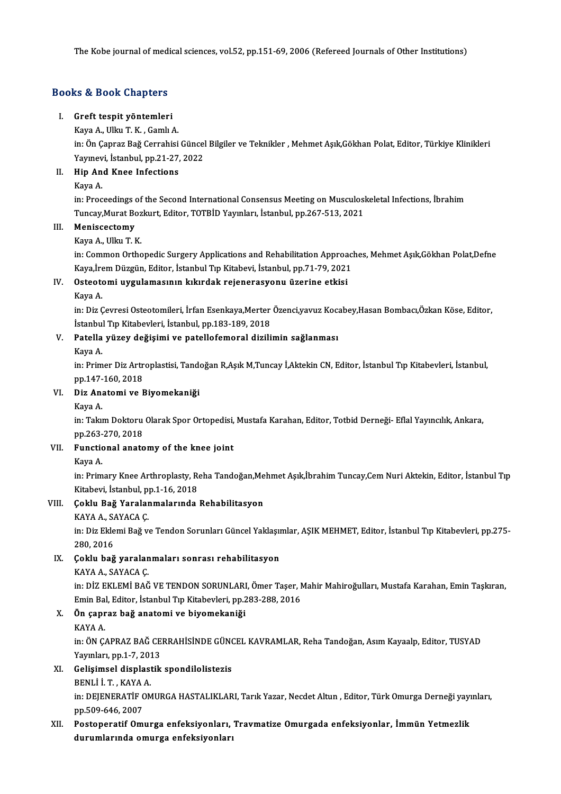The Kobe journal of medical sciences, vol.52, pp.151-69, 2006 (Refereed Journals of Other Institutions)

# The Kobe Journal or medi<br>Books & Book Chapters<br>Books & Book Chapters ooks & Book Chapters<br>I. Greft tespit yöntemleri<br>Kava A. Ullav T.K. Camb

# I. Greft tespit yöntemleri<br>Kaya A., Ulku T. K., Gamlı A.

Greft tespit yöntemleri<br>Kaya A., Ulku T. K. , Gamlı A.<br>İn: Ön Çapraz Bağ Cerrahisi Güncel Bilgiler ve Teknikler , Mehmet Aşık,Gökhan Polat, Editor, Türkiye Klinikleri Kaya A., Ulku T. K. , Gamlı A.<br>in: Ön Çapraz Bağ Cerrahisi Güncel<br>Yayınevi, İstanbul, pp.21-27, 2022<br>Hin And Knee Infestions Yayınevi, İstanbul, pp.21-27, 2022

# II. Hip And Knee Infections<br>Kava A.

Hip And Knee Infections<br>Kaya A.<br>in: Proceedings of the Second International Consensus Meeting on Musculoskeletal Infections, İbrahim<br>Tungay Munat Boglaut, Editon TOTPID Younday, İstanbul an 267 512 2021 Kaya A.<br>in: Proceedings of the Second International Consensus Meeting on Musculosl<br>Tuncay,Murat Bozkurt, Editor, TOTBİD Yayınları, İstanbul, pp.267-513, 2021<br>Meniscestomu Tuncay, Murat Bozkurt, Editor, TOTBİD Yayınları, İstanbul, pp.267-513, 2021

# III. Meniscectomy<br>Kaya A., Ulku T. K.

Meniscectomy<br>Kaya A., Ulku T. K.<br>in: Common Orthopedic Surgery Applications and Rehabilitation Approaches, Mehmet Aşık,Gökhan Polat,Defne<br>Kaya İram Dürgün, Editan İstanbul Tın Kitabeyi, İstanbul pp.71,70,2021 Kaya A., Ulku T. K.<br>in: Common Orthopedic Surgery Applications and Rehabilitation Approac.<br>Kaya,İrem Düzgün, Editor, İstanbul Tıp Kitabevi, İstanbul, pp.71-79, 2021<br>Ostantami uygulamasının kılındak neianenasıyonu üzenine e in: Common Orthopedic Surgery Applications and Rehabilitation Approa<br>Kaya,İrem Düzgün, Editor, İstanbul Tıp Kitabevi, İstanbul, pp.71-79, 2021<br>IV. Osteotomi uygulamasının kıkırdak rejenerasyonu üzerine etkisi Kaya,İre<br>**Osteote**<br>Kaya A.

Osteotomi uygulamasının kıkırdak rejenerasyonu üzerine etkisi<br>Kaya A.<br>in: Diz Çevresi Osteotomileri, İrfan Esenkaya,Merter Özenci,yavuz Kocabey,Hasan Bombacı,Özkan Köse, Editor,<br>İstanbul Tın Kitabeyleri, İstanbul nn 193-19 Kaya A.<br>in: Diz Çevresi Osteotomileri, İrfan Esenkaya,Merter<br>İstanbul Tıp Kitabevleri, İstanbul, pp.183-189, 2018<br>Patella vüzey değisimi ve natallefemeral dirili İstanbul Tıp Kitabevleri, İstanbul, pp.183-189, 2018

# V. Patella yüzey değişimi ve patellofemoral dizilimin sağlanması<br>Kaya A.

Patella yüzey değişimi ve patellofemoral dizilimin sağlanması<br>Kaya A.<br>in: Primer Diz Artroplastisi, Tandoğan R,Aşık M,Tuncay İ,Aktekin CN, Editor, İstanbul Tıp Kitabevleri, İstanbul,<br>nn 147 160 2019 Kaya A.<br>in: Primer Diz Artr<br>pp.147-160, 2018<br>Diz Anatami us E in: Primer Diz Artroplastisi, Tando<br>pp.147-160, 2018<br>VI. Diz Anatomi ve Biyomekaniği<br>Kaya A

# pp.147-<br><mark>Diz An</mark>:<br>Kaya A.<br>in: Talar

Diz Anatomi ve Biyomekaniği<br>Kaya A.<br>in: Takım Doktoru Olarak Spor Ortopedisi, Mustafa Karahan, Editor, Totbid Derneği- Eflal Yayıncılık, Ankara,<br>nn 262,270,2019 Kaya A.<br>in: Takım Doktoru<br>pp.263-270, 2018<br>Eunstierel ensts in: Takım Doktoru Olarak Spor Ortopedisi,<br>pp.263-270, 2018<br>VII. Functional anatomy of the knee joint pp.263-<br>**Functio**<br>Kaya A.<br>in: <sup>Drim</sup>

Functional anatomy of the knee joint<br>Kaya A.<br>in: Primary Knee Arthroplasty, Reha Tandoğan,Mehmet Aşık,İbrahim Tuncay,Cem Nuri Aktekin, Editor, İstanbul Tıp Kaya A.<br>in: Primary Knee Arthroplasty, Ro<br>Kitabevi, İstanbul, pp.1-16, 2018<br>Coklu, Baž Yaralanmalarında Kitabevi, İstanbul, pp 1-16, 2018

# VIII. Çoklu Bağ Yaralanmalarında Rehabilitasyon<br>KAYA A., SAYACA Ç.

Çoklu Bağ Yaralanmalarında Rehabilitasyon<br>KAYA A., SAYACA Ç.<br>in: Diz Eklemi Bağ ve Tendon Sorunları Güncel Yaklaşımlar, AŞIK MEHMET, Editor, İstanbul Tıp Kitabevleri, pp.275-<br>280, 2016 KAYA A., SA<br>in: Diz Ekle<br>280, 2016<br>Coklu hağ

# IX. Çoklu bağ yaralanmaları sonrası rehabilitasyon

KAYA A., SAYACA Ç.

Çoklu b<mark>ağ yaralanmaları sonrası rehabilitasyon</mark><br>KAYA A., SAYACA Ç.<br>in: DİZ EKLEMİ BAĞ VE TENDON SORUNLARI, Ömer Taşer, Mahir Mahiroğulları, Mustafa Karahan, Emin Taşkıran,<br>Emin Pal, Editor, İstanbul Tın Kitabevleri, np.29 KAYA A., SAYACA Ç.<br>in: DİZ EKLEMİ BAĞ VE TENDON SORUNLARI, Ömer Taşer, 1<br>Emin Bal, Editor, İstanbul Tıp Kitabevleri, pp.283-288, 2016<br>Ön sanraz bağ anatami ve biyemekaniği in: DİZ EKLEMİ BAĞ VE TENDON SORUNLARI<br>Emin Bal, Editor, İstanbul Tıp Kitabevleri, pp.2<br>X. Ön çapraz bağ anatomi ve biyomekaniği<br>KAYA A

# Emin Bal, Editor, İstanbul Tıp Kitabevleri, pp.283-288, 2016<br>X. Ön çapraz bağ anatomi ve biyomekaniği<br>KAYA A.

in:ÖNÇAPRAZBAĞCERRAHİSİNDEGÜNCELKAVRAMLAR,RehaTandoğan,AsımKayaalp,Editor,TUSYAD KAYA A.<br>in: ÖN ÇAPRAZ BAĞ CE.<br>Yayınları, pp.1-7, 2013<br>Celisimael diaplastik

# XI. Gelişimsel displastik spondilolistezis Yayınları, pp.1-7, 201<br>Gelişimsel displası<br>BENLİ İ. T. , KAYA A.<br>in: DEIENERATİE OM

Gelişimsel displastik spondilolistezis<br>BENLİ İ. T. , KAYA A.<br>in: DEJENERATİF OMURGA HASTALIKLARI, Tarık Yazar, Necdet Altun , Editor, Türk Omurga Derneği yayınları,<br>pp.500,646,2007 BENLİ İ. T. , KAYA<br>in: DEJENERATİF C<br>pp.509-646, 2007<br>Bostanenstif Om: in: DEJENERATİF OMURGA HASTALIKLARI, Tarık Yazar, Necdet Altun , Editor, Türk Omurga Derneği yayı<br>pp.509-646, 2007<br>XII. Postoperatif Omurga enfeksiyonları, Travmatize Omurgada enfeksiyonlar, İmmün Yetmezlik<br>dunumlarında am

# pp.509-646, 2007<br>XII. Postoperatif Omurga enfeksiyonları, Travmatize Omurgada enfeksiyonlar, İmmün Yetmezlik<br>durumlarında omurga enfeksiyonları